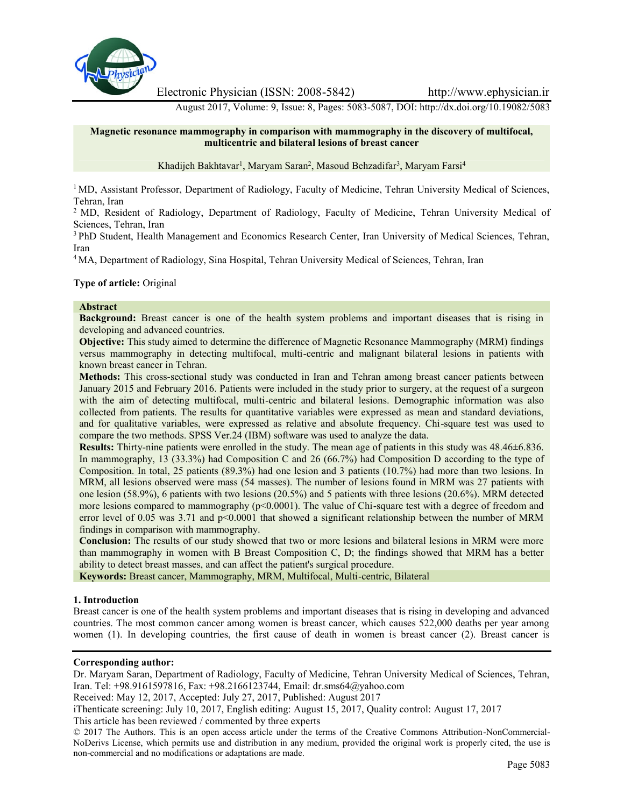

Electronic Physician (ISSN: 2008-5842) http://www.ephysician.ir

August 2017, Volume: 9, Issue: 8, Pages: 5083-5087, DOI: http://dx.doi.org/10.19082/5083

# **Magnetic resonance mammography in comparison with mammography in the discovery of multifocal, multicentric and bilateral lesions of breast cancer**

Khadijeh Bakhtavar<sup>1</sup>, Maryam Saran<sup>2</sup>, Masoud Behzadifar<sup>3</sup>, Maryam Farsi<sup>4</sup>

<sup>1</sup> MD, Assistant Professor, Department of Radiology, Faculty of Medicine, Tehran University Medical of Sciences, Tehran, Iran

<sup>2</sup> MD, Resident of Radiology, Department of Radiology, Faculty of Medicine, Tehran University Medical of Sciences, Tehran, Iran

<sup>3</sup> PhD Student, Health Management and Economics Research Center, Iran University of Medical Sciences, Tehran, Iran

<sup>4</sup> MA, Department of Radiology, Sina Hospital, Tehran University Medical of Sciences, Tehran, Iran

### **Type of article:** Original

### **Abstract**

**Background:** Breast cancer is one of the health system problems and important diseases that is rising in developing and advanced countries.

**Objective:** This study aimed to determine the difference of Magnetic Resonance Mammography (MRM) findings versus mammography in detecting multifocal, multi-centric and malignant bilateral lesions in patients with known breast cancer in Tehran.

**Methods:** This cross-sectional study was conducted in Iran and Tehran among breast cancer patients between January 2015 and February 2016. Patients were included in the study prior to surgery, at the request of a surgeon with the aim of detecting multifocal, multi-centric and bilateral lesions. Demographic information was also collected from patients. The results for quantitative variables were expressed as mean and standard deviations, and for qualitative variables, were expressed as relative and absolute frequency. Chi-square test was used to compare the two methods. SPSS Ver.24 (IBM) software was used to analyze the data.

**Results:** Thirty-nine patients were enrolled in the study. The mean age of patients in this study was 48.46±6.836. In mammography, 13 (33.3%) had Composition C and 26 (66.7%) had Composition D according to the type of Composition. In total, 25 patients (89.3%) had one lesion and 3 patients (10.7%) had more than two lesions. In MRM, all lesions observed were mass (54 masses). The number of lesions found in MRM was 27 patients with one lesion (58.9%), 6 patients with two lesions (20.5%) and 5 patients with three lesions (20.6%). MRM detected more lesions compared to mammography ( $p<0.0001$ ). The value of Chi-square test with a degree of freedom and error level of 0.05 was 3.71 and p<0.0001 that showed a significant relationship between the number of MRM findings in comparison with mammography.

**Conclusion:** The results of our study showed that two or more lesions and bilateral lesions in MRM were more than mammography in women with B Breast Composition C, D; the findings showed that MRM has a better ability to detect breast masses, and can affect the patient's surgical procedure.

**Keywords:** Breast cancer, Mammography, MRM, Multifocal, Multi-centric, Bilateral

### **1. Introduction**

Breast cancer is one of the health system problems and important diseases that is rising in developing and advanced countries. The most common cancer among women is breast cancer, which causes 522,000 deaths per year among women (1). In developing countries, the first cause of death in women is breast cancer (2). Breast cancer is

### **Corresponding author:**

Dr. Maryam Saran, Department of Radiology, Faculty of Medicine, Tehran University Medical of Sciences, Tehran, Iran. Tel: +98.9161597816, Fax: +98.2166123744, Email: dr.sms64@yahoo.com

Received: May 12, 2017, Accepted: July 27, 2017, Published: August 2017

iThenticate screening: July 10, 2017, English editing: August 15, 2017, Quality control: August 17, 2017

This article has been reviewed / commented by three experts

© 2017 The Authors. This is an open access article under the terms of the Creative Commons Attribution-NonCommercial- NoDerivs License, which permits use and distribution in any medium, provided the original work is properly cited, the use is non-commercial and no modifications or adaptations are made.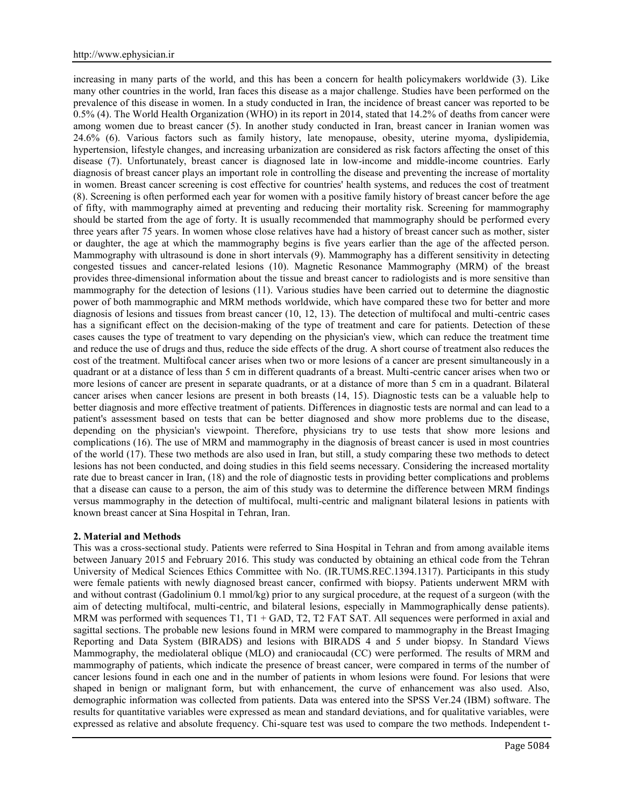increasing in many parts of the world, and this has been a concern for health policymakers worldwide (3). Like many other countries in the world, Iran faces this disease as a major challenge. Studies have been performed on the prevalence of this disease in women. In a study conducted in Iran, the incidence of breast cancer was reported to be 0.5% (4). The World Health Organization (WHO) in its report in 2014, stated that 14.2% of deaths from cancer were among women due to breast cancer (5). In another study conducted in Iran, breast cancer in Iranian women was 24.6% (6). Various factors such as family history, late menopause, obesity, uterine myoma, dyslipidemia, hypertension, lifestyle changes, and increasing urbanization are considered as risk factors affecting the onset of this disease (7). Unfortunately, breast cancer is diagnosed late in low-income and middle-income countries. Early diagnosis of breast cancer plays an important role in controlling the disease and preventing the increase of mortality in women. Breast cancer screening is cost effective for countries' health systems, and reduces the cost of treatment (8). Screening is often performed each year for women with a positive family history of breast cancer before the age of fifty, with mammography aimed at preventing and reducing their mortality risk. Screening for mammography should be started from the age of forty. It is usually recommended that mammography should be performed every three years after 75 years. In women whose close relatives have had a history of breast cancer such as mother, sister or daughter, the age at which the mammography begins is five years earlier than the age of the affected person. Mammography with ultrasound is done in short intervals (9). Mammography has a different sensitivity in detecting congested tissues and cancer-related lesions (10). Magnetic Resonance Mammography (MRM) of the breast provides three-dimensional information about the tissue and breast cancer to radiologists and is more sensitive than mammography for the detection of lesions (11). Various studies have been carried out to determine the diagnostic power of both mammographic and MRM methods worldwide, which have compared these two for better and more diagnosis of lesions and tissues from breast cancer (10, 12, 13). The detection of multifocal and multi-centric cases has a significant effect on the decision-making of the type of treatment and care for patients. Detection of these cases causes the type of treatment to vary depending on the physician's view, which can reduce the treatment time and reduce the use of drugs and thus, reduce the side effects of the drug. A short course of treatment also reduces the cost of the treatment. Multifocal cancer arises when two or more lesions of a cancer are present simultaneously in a quadrant or at a distance of less than 5 cm in different quadrants of a breast. Multi-centric cancer arises when two or more lesions of cancer are present in separate quadrants, or at a distance of more than 5 cm in a quadrant. Bilateral cancer arises when cancer lesions are present in both breasts (14, 15). Diagnostic tests can be a valuable help to better diagnosis and more effective treatment of patients. Differences in diagnostic tests are normal and can lead to a patient's assessment based on tests that can be better diagnosed and show more problems due to the disease, depending on the physician's viewpoint. Therefore, physicians try to use tests that show more lesions and complications (16). The use of MRM and mammography in the diagnosis of breast cancer is used in most countries of the world (17). These two methods are also used in Iran, but still, a study comparing these two methods to detect lesions has not been conducted, and doing studies in this field seems necessary. Considering the increased mortality rate due to breast cancer in Iran, (18) and the role of diagnostic tests in providing better complications and problems that a disease can cause to a person, the aim of this study was to determine the difference between MRM findings versus mammography in the detection of multifocal, multi-centric and malignant bilateral lesions in patients with known breast cancer at Sina Hospital in Tehran, Iran.

### **2. Material and Methods**

This was a cross-sectional study. Patients were referred to Sina Hospital in Tehran and from among available items between January 2015 and February 2016. This study was conducted by obtaining an ethical code from the Tehran University of Medical Sciences Ethics Committee with No. (IR.TUMS.REC.1394.1317). Participants in this study were female patients with newly diagnosed breast cancer, confirmed with biopsy. Patients underwent MRM with and without contrast (Gadolinium 0.1 mmol/kg) prior to any surgical procedure, at the request of a surgeon (with the aim of detecting multifocal, multi-centric, and bilateral lesions, especially in Mammographically dense patients). MRM was performed with sequences T1, T1 + GAD, T2, T2 FAT SAT. All sequences were performed in axial and sagittal sections. The probable new lesions found in MRM were compared to mammography in the Breast Imaging Reporting and Data System (BIRADS) and lesions with BIRADS 4 and 5 under biopsy. In Standard Views Mammography, the mediolateral oblique (MLO) and craniocaudal (CC) were performed. The results of MRM and mammography of patients, which indicate the presence of breast cancer, were compared in terms of the number of cancer lesions found in each one and in the number of patients in whom lesions were found. For lesions that were shaped in benign or malignant form, but with enhancement, the curve of enhancement was also used. Also, demographic information was collected from patients. Data was entered into the SPSS Ver.24 (IBM) software. The results for quantitative variables were expressed as mean and standard deviations, and for qualitative variables, were expressed as relative and absolute frequency. Chi-square test was used to compare the two methods. Independent t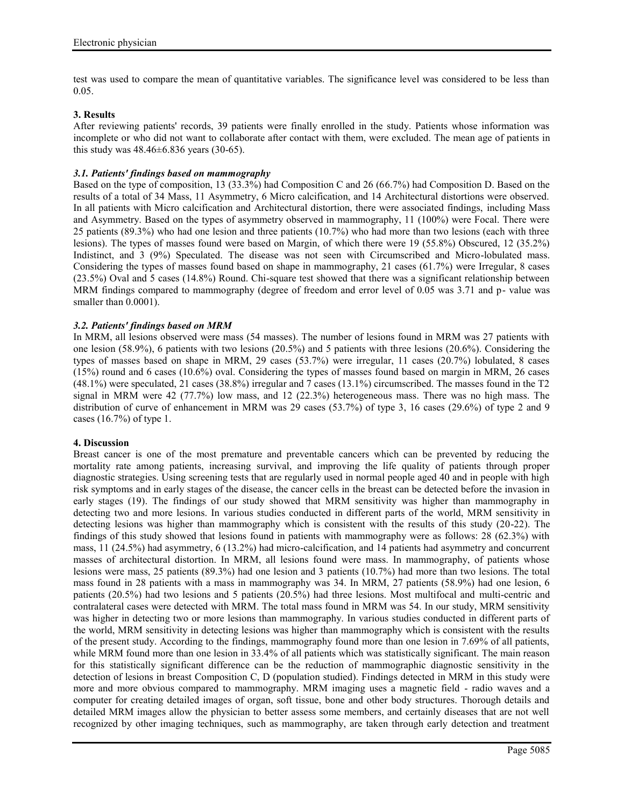test was used to compare the mean of quantitative variables. The significance level was considered to be less than 0.05.

# **3. Results**

After reviewing patients' records, 39 patients were finally enrolled in the study. Patients whose information was incomplete or who did not want to collaborate after contact with them, were excluded. The mean age of patients in this study was  $48.46 \pm 6.836$  years (30-65).

# *3.1. Patients' findings based on mammography*

Based on the type of composition, 13 (33.3%) had Composition C and 26 (66.7%) had Composition D. Based on the results of a total of 34 Mass, 11 Asymmetry, 6 Micro calcification, and 14 Architectural distortions were observed. In all patients with Micro calcification and Architectural distortion, there were associated findings, including Mass and Asymmetry. Based on the types of asymmetry observed in mammography, 11 (100%) were Focal. There were 25 patients (89.3%) who had one lesion and three patients (10.7%) who had more than two lesions (each with three lesions). The types of masses found were based on Margin, of which there were 19 (55.8%) Obscured, 12 (35.2%) Indistinct, and 3 (9%) Speculated. The disease was not seen with Circumscribed and Micro-lobulated mass. Considering the types of masses found based on shape in mammography, 21 cases (61.7%) were Irregular, 8 cases (23.5%) Oval and 5 cases (14.8%) Round. Chi-square test showed that there was a significant relationship between MRM findings compared to mammography (degree of freedom and error level of 0.05 was 3.71 and p- value was smaller than  $0.0001$ ).

### *3.2. Patients' findings based on MRM*

In MRM, all lesions observed were mass (54 masses). The number of lesions found in MRM was 27 patients with one lesion (58.9%), 6 patients with two lesions (20.5%) and 5 patients with three lesions (20.6%). Considering the types of masses based on shape in MRM, 29 cases (53.7%) were irregular, 11 cases (20.7%) lobulated, 8 cases (15%) round and 6 cases (10.6%) oval. Considering the types of masses found based on margin in MRM, 26 cases (48.1%) were speculated, 21 cases (38.8%) irregular and 7 cases (13.1%) circumscribed. The masses found in the T2 signal in MRM were 42 (77.7%) low mass, and 12 (22.3%) heterogeneous mass. There was no high mass. The distribution of curve of enhancement in MRM was 29 cases (53.7%) of type 3, 16 cases (29.6%) of type 2 and 9 cases (16.7%) of type 1.

### **4. Discussion**

Breast cancer is one of the most premature and preventable cancers which can be prevented by reducing the mortality rate among patients, increasing survival, and improving the life quality of patients through proper diagnostic strategies. Using screening tests that are regularly used in normal people aged 40 and in people with high risk symptoms and in early stages of the disease, the cancer cells in the breast can be detected before the invasion in early stages (19). The findings of our study showed that MRM sensitivity was higher than mammography in detecting two and more lesions. In various studies conducted in different parts of the world, MRM sensitivity in detecting lesions was higher than mammography which is consistent with the results of this study (20-22). The findings of this study showed that lesions found in patients with mammography were as follows: 28 (62.3%) with mass, 11 (24.5%) had asymmetry, 6 (13.2%) had micro-calcification, and 14 patients had asymmetry and concurrent masses of architectural distortion. In MRM, all lesions found were mass. In mammography, of patients whose lesions were mass, 25 patients (89.3%) had one lesion and 3 patients (10.7%) had more than two lesions. The total mass found in 28 patients with a mass in mammography was 34. In MRM, 27 patients (58.9%) had one lesion, 6 patients (20.5%) had two lesions and 5 patients (20.5%) had three lesions. Most multifocal and multi-centric and contralateral cases were detected with MRM. The total mass found in MRM was 54. In our study, MRM sensitivity was higher in detecting two or more lesions than mammography. In various studies conducted in different parts of the world, MRM sensitivity in detecting lesions was higher than mammography which is consistent with the results of the present study. According to the findings, mammography found more than one lesion in 7.69% of all patients, while MRM found more than one lesion in 33.4% of all patients which was statistically significant. The main reason for this statistically significant difference can be the reduction of mammographic diagnostic sensitivity in the detection of lesions in breast Composition C, D (population studied). Findings detected in MRM in this study were more and more obvious compared to mammography. MRM imaging uses a magnetic field - radio waves and a computer for creating detailed images of organ, soft tissue, bone and other body structures. Thorough details and detailed MRM images allow the physician to better assess some members, and certainly diseases that are not well recognized by other imaging techniques, such as mammography, are taken through early detection and treatment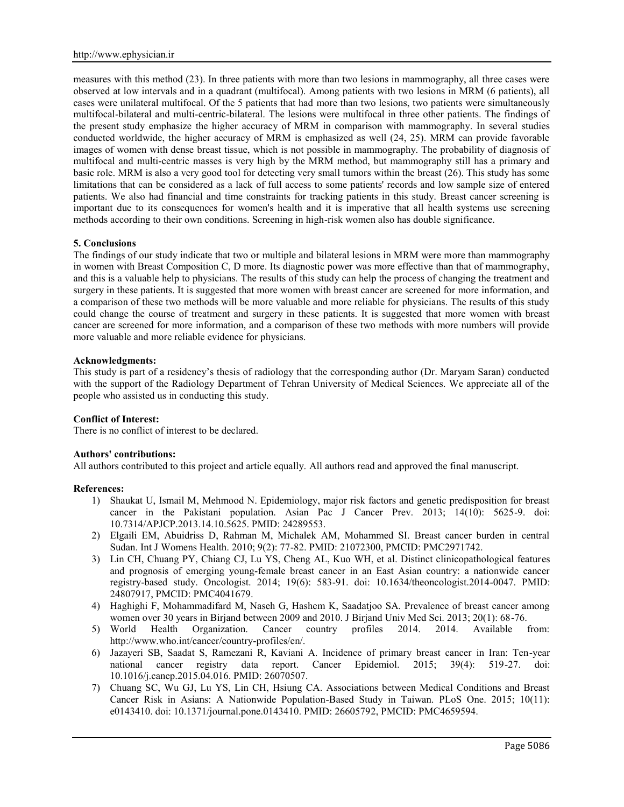measures with this method (23). In three patients with more than two lesions in mammography, all three cases were observed at low intervals and in a quadrant (multifocal). Among patients with two lesions in MRM (6 patients), all cases were unilateral multifocal. Of the 5 patients that had more than two lesions, two patients were simultaneously multifocal-bilateral and multi-centric-bilateral. The lesions were multifocal in three other patients. The findings of the present study emphasize the higher accuracy of MRM in comparison with mammography. In several studies conducted worldwide, the higher accuracy of MRM is emphasized as well (24, 25). MRM can provide favorable images of women with dense breast tissue, which is not possible in mammography. The probability of diagnosis of multifocal and multi-centric masses is very high by the MRM method, but mammography still has a primary and basic role. MRM is also a very good tool for detecting very small tumors within the breast (26). This study has some limitations that can be considered as a lack of full access to some patients' records and low sample size of entered patients. We also had financial and time constraints for tracking patients in this study. Breast cancer screening is important due to its consequences for women's health and it is imperative that all health systems use screening methods according to their own conditions. Screening in high-risk women also has double significance.

### **5. Conclusions**

The findings of our study indicate that two or multiple and bilateral lesions in MRM were more than mammography in women with Breast Composition C, D more. Its diagnostic power was more effective than that of mammography, and this is a valuable help to physicians. The results of this study can help the process of changing the treatment and surgery in these patients. It is suggested that more women with breast cancer are screened for more information, and a comparison of these two methods will be more valuable and more reliable for physicians. The results of this study could change the course of treatment and surgery in these patients. It is suggested that more women with breast cancer are screened for more information, and a comparison of these two methods with more numbers will provide more valuable and more reliable evidence for physicians.

### **Acknowledgments:**

This study is part of a residency's thesis of radiology that the corresponding author (Dr. Maryam Saran) conducted with the support of the Radiology Department of Tehran University of Medical Sciences. We appreciate all of the people who assisted us in conducting this study.

### **Conflict of Interest:**

There is no conflict of interest to be declared.

### **Authors' contributions:**

All authors contributed to this project and article equally. All authors read and approved the final manuscript.

### **References:**

- 1) Shaukat U, Ismail M, Mehmood N. Epidemiology, major risk factors and genetic predisposition for breast cancer in the Pakistani population. Asian Pac J Cancer Prev. 2013; 14(10): 5625-9. doi: 10.7314/APJCP.2013.14.10.5625. PMID: 24289553.
- 2) Elgaili EM, Abuidriss D, Rahman M, Michalek AM, Mohammed SI. Breast cancer burden in central Sudan. Int J Womens Health. 2010; 9(2): 77-82. PMID: 21072300, PMCID: PMC2971742.
- 3) Lin CH, Chuang PY, Chiang CJ, Lu YS, Cheng AL, Kuo WH, et al. Distinct clinicopathological features and prognosis of emerging young-female breast cancer in an East Asian country: a nationwide cancer registry-based study. Oncologist. 2014; 19(6): 583-91. doi: 10.1634/theoncologist.2014-0047. PMID: 24807917, PMCID: PMC4041679.
- 4) Haghighi F, Mohammadifard M, Naseh G, Hashem K, Saadatjoo SA. Prevalence of breast cancer among women over 30 years in Birjand between 2009 and 2010. J Birjand Univ Med Sci. 2013; 20(1): 68-76.
- 5) World Health Organization. Cancer country profiles 2014. 2014. Available from: http://www.who.int/cancer/country-profiles/en/.
- 6) Jazayeri SB, Saadat S, Ramezani R, Kaviani A. Incidence of primary breast cancer in Iran: Ten-year national cancer registry data report. Cancer Epidemiol. 2015; 39(4): 519-27. 10.1016/j.canep.2015.04.016. PMID: 26070507.
- 7) Chuang SC, Wu GJ, Lu YS, Lin CH, Hsiung CA. Associations between Medical Conditions and Breast Cancer Risk in Asians: A Nationwide Population-Based Study in Taiwan. PLoS One. 2015; 10(11): e0143410. doi: 10.1371/journal.pone.0143410. PMID: 26605792, PMCID: PMC4659594.